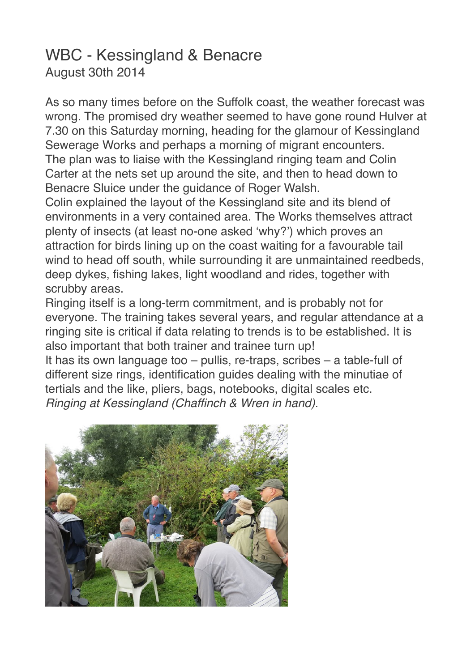## WBC - Kessingland & Benacre August 30th 2014

As so many times before on the Suffolk coast, the weather forecast was wrong. The promised dry weather seemed to have gone round Hulver at 7.30 on this Saturday morning, heading for the glamour of Kessingland Sewerage Works and perhaps a morning of migrant encounters. The plan was to liaise with the Kessingland ringing team and Colin Carter at the nets set up around the site, and then to head down to Benacre Sluice under the guidance of Roger Walsh.

Colin explained the layout of the Kessingland site and its blend of environments in a very contained area. The Works themselves attract plenty of insects (at least no-one asked 'why?') which proves an attraction for birds lining up on the coast waiting for a favourable tail wind to head off south, while surrounding it are unmaintained reedbeds, deep dykes, fishing lakes, light woodland and rides, together with scrubby areas.

Ringing itself is a long-term commitment, and is probably not for everyone. The training takes several years, and regular attendance at a ringing site is critical if data relating to trends is to be established. It is also important that both trainer and trainee turn up!

It has its own language too – pullis, re-traps, scribes – a table-full of different size rings, identification guides dealing with the minutiae of tertials and the like, pliers, bags, notebooks, digital scales etc. *Ringing at Kessingland (Chaffinch & Wren in hand).* 

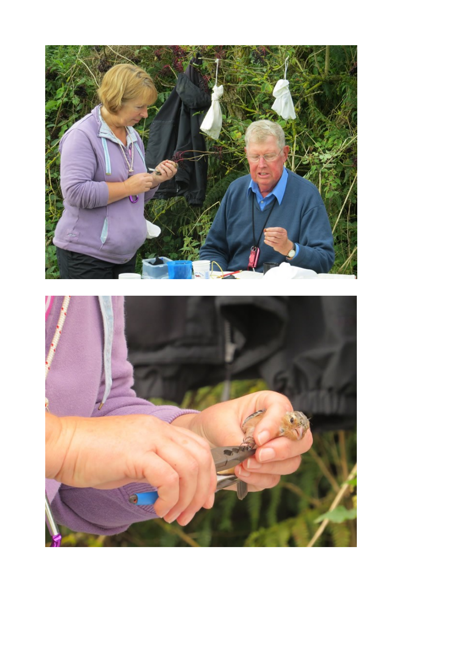

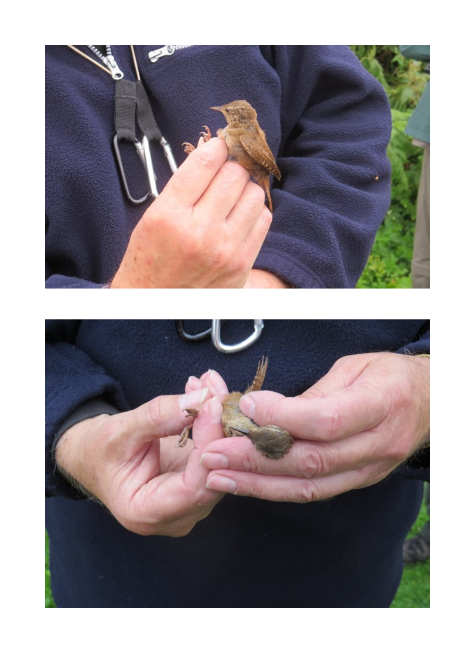

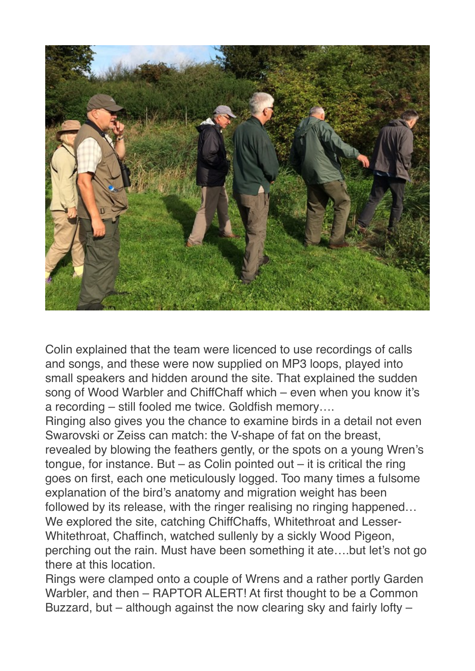

Colin explained that the team were licenced to use recordings of calls and songs, and these were now supplied on MP3 loops, played into small speakers and hidden around the site. That explained the sudden song of Wood Warbler and ChiffChaff which – even when you know it's a recording – still fooled me twice. Goldfish memory….

Ringing also gives you the chance to examine birds in a detail not even Swarovski or Zeiss can match: the V-shape of fat on the breast, revealed by blowing the feathers gently, or the spots on a young Wren's tongue, for instance. But – as Colin pointed out – it is critical the ring goes on first, each one meticulously logged. Too many times a fulsome explanation of the bird's anatomy and migration weight has been followed by its release, with the ringer realising no ringing happened… We explored the site, catching ChiffChaffs, Whitethroat and Lesser-Whitethroat, Chaffinch, watched sullenly by a sickly Wood Pigeon, perching out the rain. Must have been something it ate….but let's not go there at this location.

Rings were clamped onto a couple of Wrens and a rather portly Garden Warbler, and then – RAPTOR ALERT! At first thought to be a Common Buzzard, but – although against the now clearing sky and fairly lofty –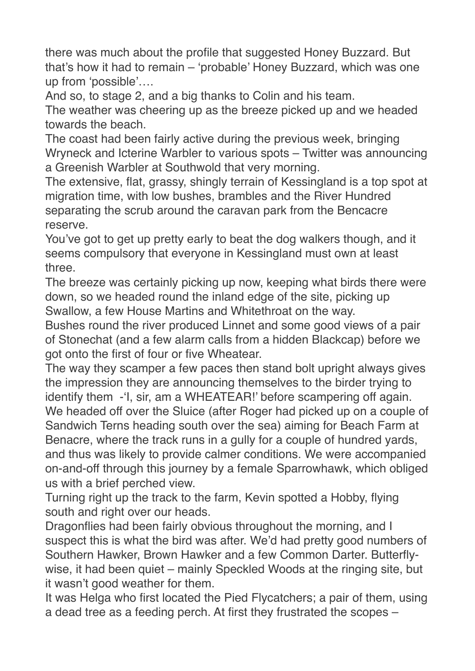there was much about the profile that suggested Honey Buzzard. But that's how it had to remain – 'probable' Honey Buzzard, which was one up from 'possible'….

And so, to stage 2, and a big thanks to Colin and his team.

The weather was cheering up as the breeze picked up and we headed towards the beach.

The coast had been fairly active during the previous week, bringing Wryneck and Icterine Warbler to various spots – Twitter was announcing a Greenish Warbler at Southwold that very morning.

The extensive, flat, grassy, shingly terrain of Kessingland is a top spot at migration time, with low bushes, brambles and the River Hundred separating the scrub around the caravan park from the Bencacre reserve.

You've got to get up pretty early to beat the dog walkers though, and it seems compulsory that everyone in Kessingland must own at least three.

The breeze was certainly picking up now, keeping what birds there were down, so we headed round the inland edge of the site, picking up Swallow, a few House Martins and Whitethroat on the way.

Bushes round the river produced Linnet and some good views of a pair of Stonechat (and a few alarm calls from a hidden Blackcap) before we got onto the first of four or five Wheatear.

The way they scamper a few paces then stand bolt upright always gives the impression they are announcing themselves to the birder trying to identify them -'I, sir, am a WHEATEAR!' before scampering off again. We headed off over the Sluice (after Roger had picked up on a couple of Sandwich Terns heading south over the sea) aiming for Beach Farm at Benacre, where the track runs in a gully for a couple of hundred yards, and thus was likely to provide calmer conditions. We were accompanied on-and-off through this journey by a female Sparrowhawk, which obliged us with a brief perched view.

Turning right up the track to the farm, Kevin spotted a Hobby, flying south and right over our heads.

Dragonflies had been fairly obvious throughout the morning, and I suspect this is what the bird was after. We'd had pretty good numbers of Southern Hawker, Brown Hawker and a few Common Darter. Butterflywise, it had been quiet – mainly Speckled Woods at the ringing site, but it wasn't good weather for them.

It was Helga who first located the Pied Flycatchers; a pair of them, using a dead tree as a feeding perch. At first they frustrated the scopes –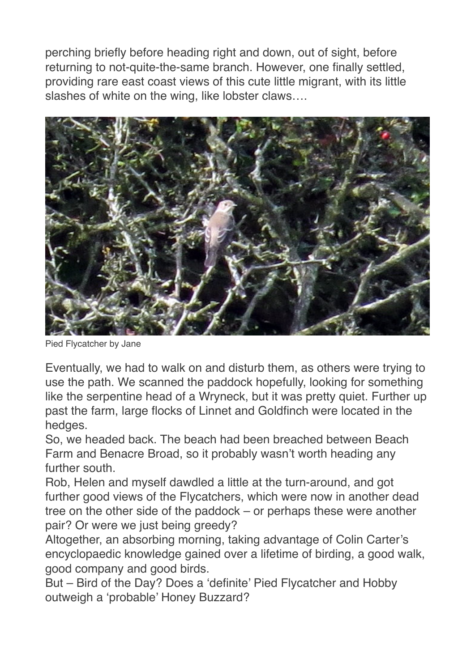perching briefly before heading right and down, out of sight, before returning to not-quite-the-same branch. However, one finally settled, providing rare east coast views of this cute little migrant, with its little slashes of white on the wing, like lobster claws….



Pied Flycatcher by Jane

Eventually, we had to walk on and disturb them, as others were trying to use the path. We scanned the paddock hopefully, looking for something like the serpentine head of a Wryneck, but it was pretty quiet. Further up past the farm, large flocks of Linnet and Goldfinch were located in the hedges.

So, we headed back. The beach had been breached between Beach Farm and Benacre Broad, so it probably wasn't worth heading any further south

Rob, Helen and myself dawdled a little at the turn-around, and got further good views of the Flycatchers, which were now in another dead tree on the other side of the paddock – or perhaps these were another pair? Or were we just being greedy?

Altogether, an absorbing morning, taking advantage of Colin Carter's encyclopaedic knowledge gained over a lifetime of birding, a good walk, good company and good birds.

But – Bird of the Day? Does a 'definite' Pied Flycatcher and Hobby outweigh a 'probable' Honey Buzzard?